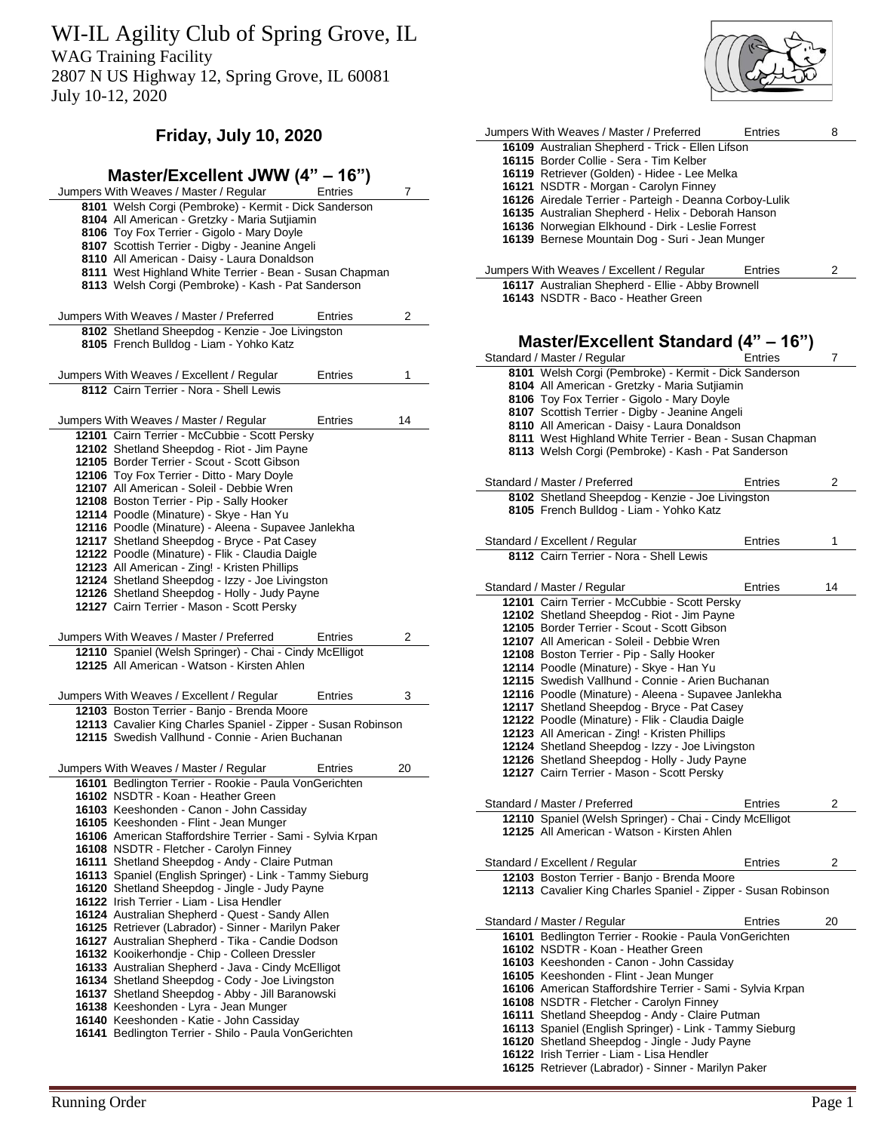WI-IL Agility Club of Spring Grove, IL

WAG Training Facility

2807 N US Highway 12, Spring Grove, IL 60081 July 10-12, 2020

# **Friday, July 10, 2020**

| Master/Excellent JWW (4" - 16")                                                                               |                |    |
|---------------------------------------------------------------------------------------------------------------|----------------|----|
| Jumpers With Weaves / Master / Regular                                                                        | <b>Entries</b> | 7  |
| 8101 Welsh Corgi (Pembroke) - Kermit - Dick Sanderson                                                         |                |    |
| 8104 All American - Gretzky - Maria Sutjiamin                                                                 |                |    |
| 8106 Toy Fox Terrier - Gigolo - Mary Doyle                                                                    |                |    |
| 8107 Scottish Terrier - Digby - Jeanine Angeli                                                                |                |    |
| 8110 All American - Daisy - Laura Donaldson                                                                   |                |    |
| 8111 West Highland White Terrier - Bean - Susan Chapman<br>8113 Welsh Corgi (Pembroke) - Kash - Pat Sanderson |                |    |
|                                                                                                               |                |    |
| Jumpers With Weaves / Master / Preferred                                                                      | Entries        | 2  |
| 8102 Shetland Sheepdog - Kenzie - Joe Livingston                                                              |                |    |
| 8105 French Bulldog - Liam - Yohko Katz                                                                       |                |    |
|                                                                                                               |                |    |
| Jumpers With Weaves / Excellent / Regular                                                                     | Entries        | 1  |
| 8112 Cairn Terrier - Nora - Shell Lewis                                                                       |                |    |
|                                                                                                               |                |    |
| Jumpers With Weaves / Master / Regular                                                                        | Entries        | 14 |
| 12101 Cairn Terrier - McCubbie - Scott Persky                                                                 |                |    |
| 12102 Shetland Sheepdog - Riot - Jim Payne                                                                    |                |    |
| 12105 Border Terrier - Scout - Scott Gibson                                                                   |                |    |
| 12106 Toy Fox Terrier - Ditto - Mary Doyle                                                                    |                |    |
| 12107 All American - Soleil - Debbie Wren<br>12108 Boston Terrier - Pip - Sally Hooker                        |                |    |
|                                                                                                               |                |    |
| 12114 Poodle (Minature) - Skye - Han Yu<br>12116 Poodle (Minature) - Aleena - Supavee Janlekha                |                |    |
| 12117 Shetland Sheepdog - Bryce - Pat Casey                                                                   |                |    |
| 12122 Poodle (Minature) - Flik - Claudia Daigle                                                               |                |    |
| 12123 All American - Zing! - Kristen Phillips                                                                 |                |    |
| 12124 Shetland Sheepdog - Izzy - Joe Livingston                                                               |                |    |
| 12126 Shetland Sheepdog - Holly - Judy Payne                                                                  |                |    |
| 12127 Cairn Terrier - Mason - Scott Persky                                                                    |                |    |
|                                                                                                               |                |    |
|                                                                                                               |                |    |
| Jumpers With Weaves / Master / Preferred                                                                      | Entries        | 2  |
| 12110 Spaniel (Welsh Springer) - Chai - Cindy McElligot                                                       |                |    |
| 12125 All American - Watson - Kirsten Ahlen                                                                   |                |    |
|                                                                                                               |                |    |
| Jumpers With Weaves / Excellent / Regular                                                                     | Entries        | 3  |
| 12103 Boston Terrier - Banjo - Brenda Moore                                                                   |                |    |
| 12113 Cavalier King Charles Spaniel - Zipper - Susan Robinson                                                 |                |    |
| 12115 Swedish Vallhund - Connie - Arien Buchanan                                                              |                |    |
|                                                                                                               |                |    |
| Jumpers With Weaves / Master / Regular                                                                        | Entries        | 20 |
| 16101 Bedlington Terrier - Rookie - Paula VonGerichten                                                        |                |    |
| 16102 NSDTR - Koan - Heather Green                                                                            |                |    |
| 16103 Keeshonden - Canon - John Cassiday                                                                      |                |    |
| 16105 Keeshonden - Flint - Jean Munger                                                                        |                |    |
| 16106 American Staffordshire Terrier - Sami - Sylvia Krpan                                                    |                |    |
| 16108 NSDTR - Fletcher - Carolyn Finney                                                                       |                |    |
| 16111 Shetland Sheepdog - Andy - Claire Putman                                                                |                |    |
| 16113 Spaniel (English Springer) - Link - Tammy Sieburg<br>16120 Shetland Sheepdog - Jingle - Judy Payne      |                |    |
| 16122 Irish Terrier - Liam - Lisa Hendler                                                                     |                |    |
| 16124 Australian Shepherd - Quest - Sandy Allen                                                               |                |    |
| 16125 Retriever (Labrador) - Sinner - Marilyn Paker                                                           |                |    |
| 16127 Australian Shepherd - Tika - Candie Dodson                                                              |                |    |
| 16132 Kooikerhondje - Chip - Colleen Dressler                                                                 |                |    |
| 16133 Australian Shepherd - Java - Cindy McElligot                                                            |                |    |
| 16134 Shetland Sheepdog - Cody - Joe Livingston                                                               |                |    |
| 16137 Shetland Sheepdog - Abby - Jill Baranowski                                                              |                |    |
| 16138 Keeshonden - Lyra - Jean Munger                                                                         |                |    |
| 16140 Keeshonden - Katie - John Cassiday                                                                      |                |    |
| 16141 Bedlington Terrier - Shilo - Paula VonGerichten                                                         |                |    |

| Jumpers With Weaves / Master / Preferred                                                             | Entries | 8  |
|------------------------------------------------------------------------------------------------------|---------|----|
| 16109 Australian Shepherd - Trick - Ellen Lifson<br>16115 Border Collie - Sera - Tim Kelber          |         |    |
| 16119 Retriever (Golden) - Hidee - Lee Melka                                                         |         |    |
| 16121 NSDTR - Morgan - Carolyn Finney                                                                |         |    |
| 16126 Airedale Terrier - Parteigh - Deanna Corboy-Lulik                                              |         |    |
| 16135 Australian Shepherd - Helix - Deborah Hanson                                                   |         |    |
| 16136 Norwegian Elkhound - Dirk - Leslie Forrest                                                     |         |    |
| 16139 Bernese Mountain Dog - Suri - Jean Munger                                                      |         |    |
|                                                                                                      |         |    |
|                                                                                                      | Entries | 2  |
| Jumpers With Weaves / Excellent / Regular                                                            |         |    |
| 16117 Australian Shepherd - Ellie - Abby Brownell<br>16143 NSDTR - Baco - Heather Green              |         |    |
|                                                                                                      |         |    |
|                                                                                                      |         |    |
|                                                                                                      |         |    |
| Master/Excellent Standard (4" – 16")                                                                 |         |    |
| Standard / Master / Regular                                                                          | Entries | 7  |
| 8101 Welsh Corgi (Pembroke) - Kermit - Dick Sanderson                                                |         |    |
| 8104 All American - Gretzky - Maria Sutjiamin                                                        |         |    |
| 8106 Toy Fox Terrier - Gigolo - Mary Doyle                                                           |         |    |
| 8107 Scottish Terrier - Digby - Jeanine Angeli                                                       |         |    |
| 8110 All American - Daisy - Laura Donaldson                                                          |         |    |
| 8111 West Highland White Terrier - Bean - Susan Chapman                                              |         |    |
| 8113 Welsh Corgi (Pembroke) - Kash - Pat Sanderson                                                   |         |    |
|                                                                                                      |         |    |
| Standard / Master / Preferred                                                                        | Entries | 2  |
| 8102 Shetland Sheepdog - Kenzie - Joe Livingston                                                     |         |    |
| 8105 French Bulldog - Liam - Yohko Katz                                                              |         |    |
|                                                                                                      |         |    |
| Standard / Excellent / Regular                                                                       | Entries | 1  |
| 8112 Cairn Terrier - Nora - Shell Lewis                                                              |         |    |
|                                                                                                      |         |    |
| Standard / Master / Regular                                                                          | Entries | 14 |
| 12101 Cairn Terrier - McCubbie - Scott Persky                                                        |         |    |
| 12102 Shetland Sheepdog - Riot - Jim Payne                                                           |         |    |
| 12105 Border Terrier - Scout - Scott Gibson                                                          |         |    |
| 12107 All American - Soleil - Debbie Wren                                                            |         |    |
| 12108 Boston Terrier - Pip - Sally Hooker                                                            |         |    |
| 12114 Poodle (Minature) - Skye - Han Yu                                                              |         |    |
| 12115 Swedish Vallhund - Connie - Arien Buchanan                                                     |         |    |
| 12116 Poodle (Minature) - Aleena - Supavee Janlekha                                                  |         |    |
| 12117 Shetland Sheepdog - Bryce - Pat Casey                                                          |         |    |
| 12122 Poodle (Minature) - Flik - Claudia Daigle                                                      |         |    |
| 12123 All American - Zing! - Kristen Phillips                                                        |         |    |
| 12124 Shetland Sheepdog - Izzy - Joe Livingston                                                      |         |    |
| 12126 Shetland Sheepdog - Holly - Judy Payne                                                         |         |    |
| 12127 Cairn Terrier - Mason - Scott Persky                                                           |         |    |
|                                                                                                      |         |    |
| Standard / Master / Preferred                                                                        | Entries | 2  |
| 12110 Spaniel (Welsh Springer) - Chai - Cindy McElligot                                              |         |    |
| 12125 All American - Watson - Kirsten Ahlen                                                          |         |    |
|                                                                                                      |         |    |
| Standard / Excellent / Regular                                                                       | Entries | 2  |
| 12103 Boston Terrier - Banjo - Brenda Moore                                                          |         |    |
| 12113 Cavalier King Charles Spaniel - Zipper - Susan Robinson                                        |         |    |
|                                                                                                      |         |    |
|                                                                                                      |         |    |
| Standard / Master / Regular                                                                          | Entries | 20 |
| 16101 Bedlington Terrier - Rookie - Paula VonGerichten                                               |         |    |
| 16102 NSDTR - Koan - Heather Green<br>16103 Keeshonden - Canon - John Cassiday                       |         |    |
|                                                                                                      |         |    |
| 16105 Keeshonden - Flint - Jean Munger<br>16106 American Staffordshire Terrier - Sami - Sylvia Krpan |         |    |
| 16108 NSDTR - Fletcher - Carolyn Finney                                                              |         |    |
| 16111 Shetland Sheepdog - Andy - Claire Putman                                                       |         |    |
| 16113 Spaniel (English Springer) - Link - Tammy Sieburg                                              |         |    |
| 16120 Shetland Sheepdog - Jingle - Judy Payne                                                        |         |    |
| 16122 Irish Terrier - Liam - Lisa Hendler                                                            |         |    |
| 16125 Retriever (Labrador) - Sinner - Marilyn Paker                                                  |         |    |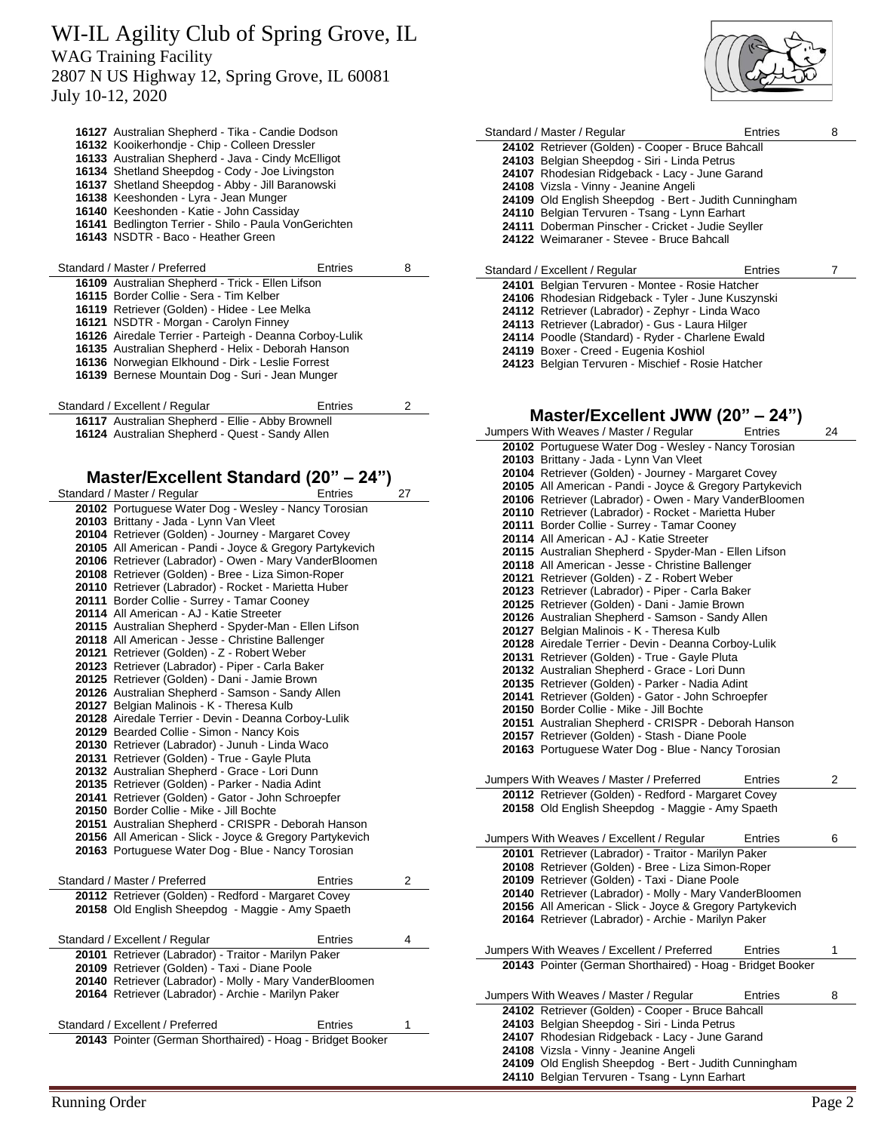July 10-12, 2020

| 16127 Australian Shepherd - Tika - Candie Dodson<br>16132 Kooikerhondie - Chip - Colleen Dressler<br>16133 Australian Shepherd - Java - Cindy McElligot<br>16134 Shetland Sheepdog - Cody - Joe Livingston<br>16137 Shetland Sheepdog - Abby - Jill Baranowski<br>16138 Keeshonden - Lyra - Jean Munger<br>16140 Keeshonden - Katie - John Cassiday<br>16141 Bedlington Terrier - Shilo - Paula VonGerichten<br>16143 NSDTR - Baco - Heather Green |         |    |
|----------------------------------------------------------------------------------------------------------------------------------------------------------------------------------------------------------------------------------------------------------------------------------------------------------------------------------------------------------------------------------------------------------------------------------------------------|---------|----|
| Standard / Master / Preferred                                                                                                                                                                                                                                                                                                                                                                                                                      | Entries | 8  |
| 16109 Australian Shepherd - Trick - Ellen Lifson<br>16115 Border Collie - Sera - Tim Kelber<br>16119 Retriever (Golden) - Hidee - Lee Melka<br>16121 NSDTR - Morgan - Carolyn Finney<br>16126 Airedale Terrier - Parteigh - Deanna Corboy-Lulik<br>16135 Australian Shepherd - Helix - Deborah Hanson<br>16136 Norwegian Elkhound - Dirk - Leslie Forrest<br>16139 Bernese Mountain Dog - Suri - Jean Munger                                       |         |    |
| Standard / Excellent / Regular                                                                                                                                                                                                                                                                                                                                                                                                                     | Entries | 2  |
| 16117 Australian Shepherd - Ellie - Abby Brownell<br>16124 Australian Shepherd - Quest - Sandy Allen                                                                                                                                                                                                                                                                                                                                               |         |    |
| Master/Excellent Standard (20" – 24")                                                                                                                                                                                                                                                                                                                                                                                                              |         |    |
| Standard / Master / Regular                                                                                                                                                                                                                                                                                                                                                                                                                        | Entries | 27 |
| 20102 Portuguese Water Dog - Wesley - Nancy Torosian                                                                                                                                                                                                                                                                                                                                                                                               |         |    |
| 20103 Brittany - Jada - Lynn Van Vleet<br>20104 Retriever (Golden) - Journey - Margaret Covey                                                                                                                                                                                                                                                                                                                                                      |         |    |
| 20105 All American - Pandi - Joyce & Gregory Partykevich                                                                                                                                                                                                                                                                                                                                                                                           |         |    |

 Retriever (Labrador) - Owen - Mary VanderBloomen Retriever (Golden) - Bree - Liza Simon-Roper Retriever (Labrador) - Rocket - Marietta Huber Border Collie - Surrey - Tamar Cooney All American - AJ - Katie Streeter Australian Shepherd - Spyder-Man - Ellen Lifson All American - Jesse - Christine Ballenger Retriever (Golden) - Z - Robert Weber Retriever (Labrador) - Piper - Carla Baker Retriever (Golden) - Dani - Jamie Brown Australian Shepherd - Samson - Sandy Allen Belgian Malinois - K - Theresa Kulb Airedale Terrier - Devin - Deanna Corboy-Lulik Bearded Collie - Simon - Nancy Kois Retriever (Labrador) - Junuh - Linda Waco Retriever (Golden) - True - Gayle Pluta Australian Shepherd - Grace - Lori Dunn Retriever (Golden) - Parker - Nadia Adint Retriever (Golden) - Gator - John Schroepfer Border Collie - Mike - Jill Bochte Australian Shepherd - CRISPR - Deborah Hanson All American - Slick - Joyce & Gregory Partykevich Portuguese Water Dog - Blue - Nancy Torosian Standard / Master / Preferred Funchille Entries 2 Retriever (Golden) - Redford - Margaret Covey Old English Sheepdog - Maggie - Amy Spaeth

Standard / Excellent / Regular Funchillens Entries 4 Retriever (Labrador) - Traitor - Marilyn Paker Retriever (Golden) - Taxi - Diane Poole Retriever (Labrador) - Molly - Mary VanderBloomen Retriever (Labrador) - Archie - Marilyn Paker Standard / Excellent / Preferred Ferrent Entries Pointer (German Shorthaired) - Hoag - Bridget Booker



| Standard / Master / Regular                           | Entries | 8 |
|-------------------------------------------------------|---------|---|
| 24102 Retriever (Golden) - Cooper - Bruce Bahcall     |         |   |
| 24103 Belgian Sheepdog - Siri - Linda Petrus          |         |   |
| 24107 Rhodesian Ridgeback - Lacy - June Garand        |         |   |
| 24108 Vizsla - Vinny - Jeanine Angeli                 |         |   |
| 24109 Old English Sheepdog - Bert - Judith Cunningham |         |   |
| 24110 Belgian Tervuren - Tsang - Lynn Earhart         |         |   |
| 24111 Doberman Pinscher - Cricket - Judie Seyller     |         |   |
| 24122 Weimaraner - Stevee - Bruce Bahcall             |         |   |
|                                                       |         |   |
|                                                       |         |   |
| Standard / Excellent / Regular                        | Entries |   |
| 24101 Belgian Tervuren - Montee - Rosie Hatcher       |         |   |
| 24106 Rhodesian Ridgeback - Tyler - June Kuszynski    |         |   |
| 24112 Retriever (Labrador) - Zephyr - Linda Waco      |         |   |
| 24113 Retriever (Labrador) - Gus - Laura Hilger       |         |   |
| 24114 Poodle (Standard) - Ryder - Charlene Ewald      |         |   |
| 24119 Boxer - Creed - Eugenia Koshiol                 |         |   |

#### **Master/Excellent JWW (20" – 24")**

| v                                                                                                 |    |
|---------------------------------------------------------------------------------------------------|----|
| Jumpers With Weaves / Master / Regular<br>Entries                                                 | 24 |
| 20102 Portuguese Water Dog - Wesley - Nancy Torosian                                              |    |
| 20103 Brittany - Jada - Lynn Van Vleet                                                            |    |
| 20104 Retriever (Golden) - Journey - Margaret Covey                                               |    |
| 20105 All American - Pandi - Joyce & Gregory Partykevich                                          |    |
| 20106 Retriever (Labrador) - Owen - Mary VanderBloomen                                            |    |
| 20110 Retriever (Labrador) - Rocket - Marietta Huber                                              |    |
| 20111 Border Collie - Surrey - Tamar Cooney                                                       |    |
| 20114 All American - AJ - Katie Streeter                                                          |    |
| 20115 Australian Shepherd - Spyder-Man - Ellen Lifson                                             |    |
| 20118 All American - Jesse - Christine Ballenger                                                  |    |
| 20121 Retriever (Golden) - Z - Robert Weber                                                       |    |
| 20123 Retriever (Labrador) - Piper - Carla Baker                                                  |    |
| 20125 Retriever (Golden) - Dani - Jamie Brown                                                     |    |
| 20126 Australian Shepherd - Samson - Sandy Allen                                                  |    |
|                                                                                                   |    |
| 20127 Belgian Malinois - K - Theresa Kulb<br>20128 Airedale Terrier - Devin - Deanna Corboy-Lulik |    |
|                                                                                                   |    |
| 20131 Retriever (Golden) - True - Gayle Pluta                                                     |    |
| 20132 Australian Shepherd - Grace - Lori Dunn                                                     |    |
| 20135 Retriever (Golden) - Parker - Nadia Adint                                                   |    |
| 20141 Retriever (Golden) - Gator - John Schroepfer                                                |    |
| 20150 Border Collie - Mike - Jill Bochte                                                          |    |
| 20151 Australian Shepherd - CRISPR - Deborah Hanson                                               |    |
| 20157 Retriever (Golden) - Stash - Diane Poole                                                    |    |
| 20163 Portuguese Water Dog - Blue - Nancy Torosian                                                |    |
|                                                                                                   |    |
| Jumpers With Weaves / Master / Preferred<br>Entries                                               | 2  |
| 20112 Retriever (Golden) - Redford - Margaret Covey                                               |    |
| 20158 Old English Sheepdog - Maggie - Amy Spaeth                                                  |    |
|                                                                                                   |    |
| Jumpers With Weaves / Excellent / Regular<br>Entries                                              | 6  |
| 20101 Retriever (Labrador) - Traitor - Marilyn Paker                                              |    |
| 20108 Retriever (Golden) - Bree - Liza Simon-Roper                                                |    |
| 20109 Retriever (Golden) - Taxi - Diane Poole                                                     |    |
| 20140 Retriever (Labrador) - Molly - Mary VanderBloomen                                           |    |
| 20156 All American - Slick - Joyce & Gregory Partykevich                                          |    |
| 20164 Retriever (Labrador) - Archie - Marilyn Paker                                               |    |
|                                                                                                   |    |
|                                                                                                   |    |
| Jumpers With Weaves / Excellent / Preferred<br>Entries                                            | 1  |
| 20143 Pointer (German Shorthaired) - Hoag - Bridget Booker                                        |    |
|                                                                                                   |    |
| Jumpers With Weaves / Master / Regular<br><b>Entries</b>                                          | 8  |
| 24102 Retriever (Golden) - Cooper - Bruce Bahcall                                                 |    |
| 24103 Belgian Sheepdog - Siri - Linda Petrus                                                      |    |
| 24107 Rhodesian Ridgeback - Lacy - June Garand                                                    |    |
| 24108 Vizsla - Vinny - Jeanine Angeli                                                             |    |
| 24109 Old English Sheepdog - Bert - Judith Cunningham                                             |    |
| 24110 Belgian Tervuren - Tsang - Lynn Earhart                                                     |    |
|                                                                                                   |    |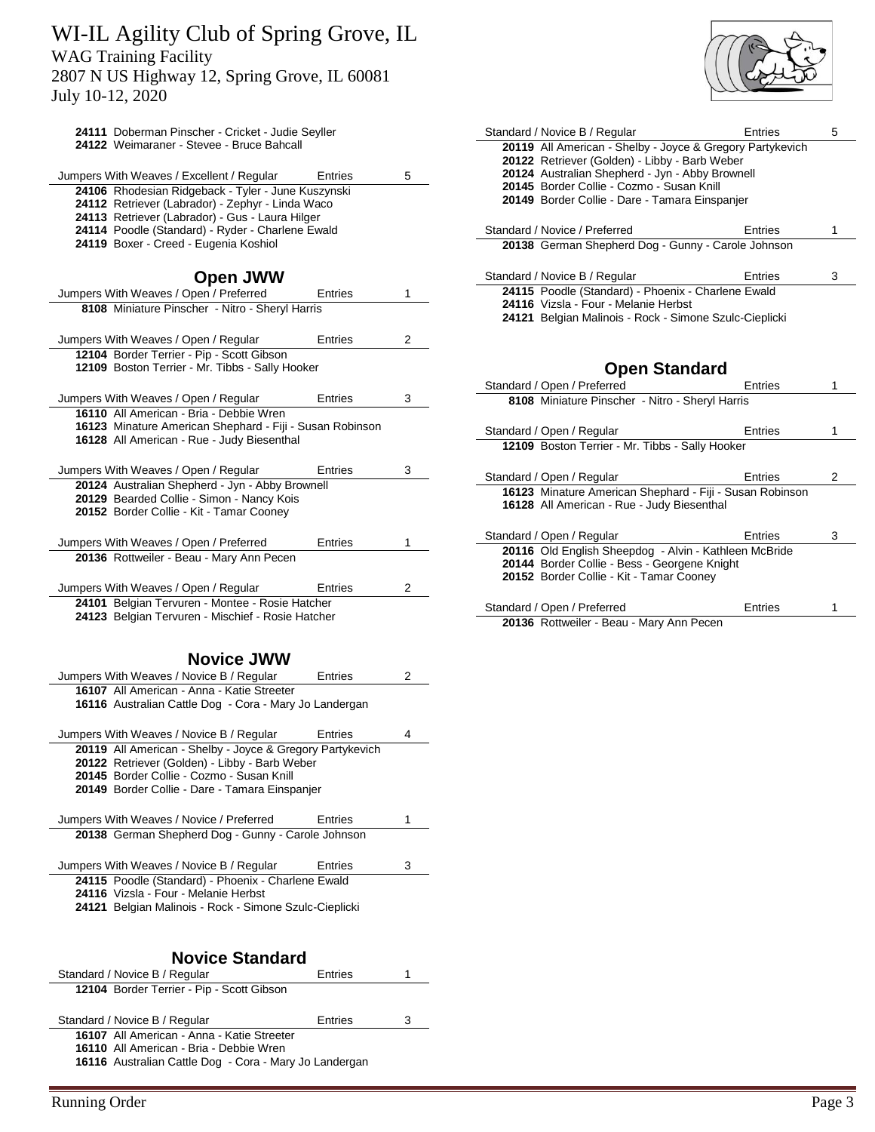July 10-12, 2020

| 24111 Doberman Pinscher - Cricket - Judie Seyller<br>24122 Weimaraner - Stevee - Bruce Bahcall        |         |   |
|-------------------------------------------------------------------------------------------------------|---------|---|
|                                                                                                       |         |   |
| Jumpers With Weaves / Excellent / Regular                                                             | Entries | 5 |
| 24106 Rhodesian Ridgeback - Tyler - June Kuszynski                                                    |         |   |
| 24112 Retriever (Labrador) - Zephyr - Linda Waco                                                      |         |   |
| 24113 Retriever (Labrador) - Gus - Laura Hilger<br>24114 Poodle (Standard) - Ryder - Charlene Ewald   |         |   |
| 24119 Boxer - Creed - Eugenia Koshiol                                                                 |         |   |
|                                                                                                       |         |   |
| <b>Open JWW</b>                                                                                       |         |   |
| Jumpers With Weaves / Open / Preferred                                                                | Entries | 1 |
| 8108 Miniature Pinscher - Nitro - Sheryl Harris                                                       |         |   |
|                                                                                                       |         |   |
| Jumpers With Weaves / Open / Regular                                                                  | Entries | 2 |
| 12104 Border Terrier - Pip - Scott Gibson                                                             |         |   |
| 12109 Boston Terrier - Mr. Tibbs - Sally Hooker                                                       |         |   |
| Jumpers With Weaves / Open / Regular                                                                  | Entries | 3 |
| 16110 All American - Bria - Debbie Wren                                                               |         |   |
| 16123 Minature American Shephard - Fiji - Susan Robinson                                              |         |   |
| 16128 All American - Rue - Judy Biesenthal                                                            |         |   |
|                                                                                                       |         |   |
| Jumpers With Weaves / Open / Regular                                                                  | Entries | 3 |
| 20124 Australian Shepherd - Jyn - Abby Brownell                                                       |         |   |
| 20129 Bearded Collie - Simon - Nancy Kois                                                             |         |   |
| 20152 Border Collie - Kit - Tamar Cooney                                                              |         |   |
| Jumpers With Weaves / Open / Preferred                                                                | Entries | 1 |
| 20136 Rottweiler - Beau - Mary Ann Pecen                                                              |         |   |
|                                                                                                       |         |   |
| Jumpers With Weaves / Open / Regular                                                                  | Entries | 2 |
| 24101 Belgian Tervuren - Montee - Rosie Hatcher                                                       |         |   |
| 24123 Belgian Tervuren - Mischief - Rosie Hatcher                                                     |         |   |
|                                                                                                       |         |   |
|                                                                                                       |         |   |
| <b>Novice JWW</b>                                                                                     |         |   |
| Jumpers With Weaves / Novice B / Regular                                                              | Entries | 2 |
| 16107 All American - Anna - Katie Streeter                                                            |         |   |
| 16116 Australian Cattle Dog - Cora - Mary Jo Landergan                                                |         |   |
|                                                                                                       |         |   |
| Jumpers With Weaves / Novice B / Regular<br>20119 All American - Shelby - Joyce & Gregory Partykevich | Entries | 4 |
|                                                                                                       |         |   |

| 20145 Border Collie - Cozmo - Susan Knill<br>20149 Border Collie - Dare - Tamara Einspanjer |         |   |
|---------------------------------------------------------------------------------------------|---------|---|
| Jumpers With Weaves / Novice / Preferred                                                    | Entries |   |
| 20138 German Shepherd Dog - Gunny - Carole Johnson                                          |         |   |
| Jumpers With Weaves / Novice B / Regular                                                    | Entries | з |
| 24115 Poodle (Standard) - Phoenix - Charlene Ewald<br>24116 Vizsla - Four - Melanie Herbst  |         |   |
| 24121 Belgian Malinois - Rock - Simone Szulc-Cieplicki                                      |         |   |
|                                                                                             |         |   |
|                                                                                             |         |   |
| Navios Clandovd                                                                             |         |   |

Retriever (Golden) - Libby - Barb Weber

#### **Novice Standard** Standard / Novice B / Regular Entries 1

| Standard / Novice B / Regular                          | Entries |   |
|--------------------------------------------------------|---------|---|
| 12104 Border Terrier - Pip - Scott Gibson              |         |   |
|                                                        |         |   |
|                                                        |         |   |
| Standard / Novice B / Regular                          | Entries | 3 |
| 16107 All American - Anna - Katie Streeter             |         |   |
| 16110 All American - Bria - Debbie Wren                |         |   |
| 16116 Australian Cattle Dog - Cora - Mary Jo Landergan |         |   |
|                                                        |         |   |



| Standard / Novice B / Regular                                                                | Entries | 5 |
|----------------------------------------------------------------------------------------------|---------|---|
| 20119 All American - Shelby - Joyce & Gregory Partykevich                                    |         |   |
| 20122 Retriever (Golden) - Libby - Barb Weber                                                |         |   |
| 20124 Australian Shepherd - Jyn - Abby Brownell<br>20145 Border Collie - Cozmo - Susan Knill |         |   |
| 20149 Border Collie - Dare - Tamara Einspanjer                                               |         |   |
|                                                                                              |         |   |
| Standard / Novice / Preferred                                                                | Entries | 1 |
| 20138 German Shepherd Dog - Gunny - Carole Johnson                                           |         |   |
|                                                                                              |         |   |
| Standard / Novice B / Regular                                                                | Entries | 3 |
| 24115 Poodle (Standard) - Phoenix - Charlene Ewald                                           |         |   |
| 24116 Vizsla - Four - Melanie Herbst                                                         |         |   |
| 24121 Belgian Malinois - Rock - Simone Szulc-Cieplicki                                       |         |   |
|                                                                                              |         |   |
|                                                                                              |         |   |
| <b>Open Standard</b>                                                                         |         |   |
|                                                                                              |         |   |
|                                                                                              | Entries | 1 |
| Standard / Open / Preferred                                                                  |         |   |
| 8108 Miniature Pinscher - Nitro - Sheryl Harris                                              |         |   |
| Standard / Open / Regular                                                                    | Entries | 1 |
| 12109 Boston Terrier - Mr. Tibbs - Sally Hooker                                              |         |   |
|                                                                                              |         |   |
| Standard / Open / Regular                                                                    | Entries | 2 |
| 16123 Minature American Shephard - Fiji - Susan Robinson                                     |         |   |
| 16128 All American - Rue - Judy Biesenthal                                                   |         |   |
|                                                                                              |         |   |
| Standard / Open / Regular                                                                    | Entries | 3 |
| 20116 Old English Sheepdog - Alvin - Kathleen McBride                                        |         |   |
| 20144 Border Collie - Bess - Georgene Knight                                                 |         |   |
| 20152 Border Collie - Kit - Tamar Cooney                                                     |         |   |
|                                                                                              |         |   |
| Standard / Open / Preferred<br>20136 Rottweiler - Beau - Mary Ann Pecen                      | Entries | 1 |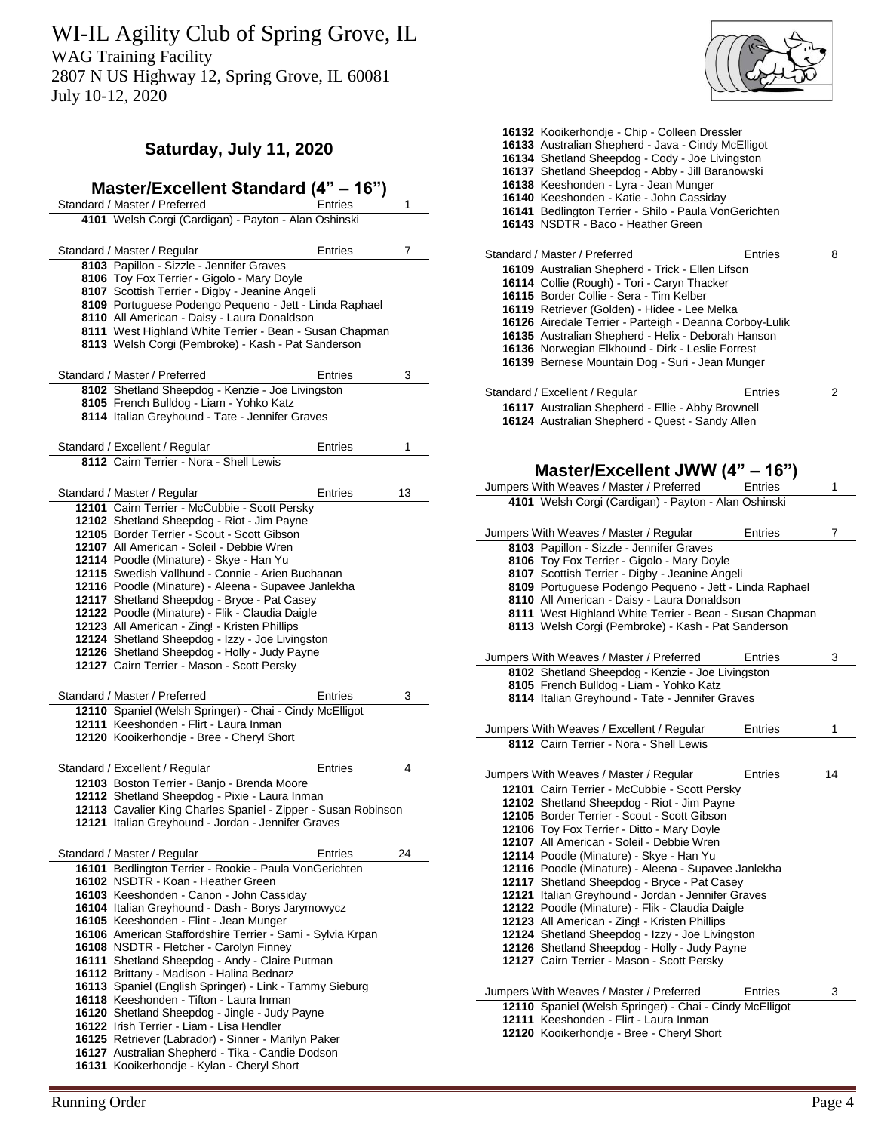WI-IL Agility Club of Spring Grove, IL

WAG Training Facility

2807 N US Highway 12, Spring Grove, IL 60081 July 10-12, 2020

# **Saturday, July 11, 2020**

| Master/Excellent Standard (4" – 16")                                                                                |         |    |
|---------------------------------------------------------------------------------------------------------------------|---------|----|
| Standard / Master / Preferred                                                                                       | Entries | 1  |
| 4101 Welsh Corgi (Cardigan) - Payton - Alan Oshinski                                                                |         |    |
| Standard / Master / Regular                                                                                         | Entries | 7  |
| 8103 Papillon - Sizzle - Jennifer Graves                                                                            |         |    |
| 8106 Toy Fox Terrier - Gigolo - Mary Doyle                                                                          |         |    |
| 8107 Scottish Terrier - Digby - Jeanine Angeli                                                                      |         |    |
| 8109 Portuguese Podengo Pequeno - Jett - Linda Raphael                                                              |         |    |
| 8110 All American - Daisy - Laura Donaldson                                                                         |         |    |
| 8111 West Highland White Terrier - Bean - Susan Chapman<br>8113 Welsh Corgi (Pembroke) - Kash - Pat Sanderson       |         |    |
| Standard / Master / Preferred                                                                                       | Entries | 3  |
| 8102 Shetland Sheepdog - Kenzie - Joe Livingston                                                                    |         |    |
| 8105 French Bulldog - Liam - Yohko Katz                                                                             |         |    |
| 8114 Italian Greyhound - Tate - Jennifer Graves                                                                     |         |    |
| Standard / Excellent / Regular                                                                                      | Entries | 1  |
| 8112 Cairn Terrier - Nora - Shell Lewis                                                                             |         |    |
|                                                                                                                     |         |    |
| Standard / Master / Regular                                                                                         | Entries | 13 |
| 12101 Cairn Terrier - McCubbie - Scott Persky                                                                       |         |    |
| 12102 Shetland Sheepdog - Riot - Jim Payne                                                                          |         |    |
| 12105 Border Terrier - Scout - Scott Gibson                                                                         |         |    |
| 12107 All American - Soleil - Debbie Wren                                                                           |         |    |
| 12114 Poodle (Minature) - Skye - Han Yu                                                                             |         |    |
| 12115 Swedish Vallhund - Connie - Arien Buchanan                                                                    |         |    |
| 12116 Poodle (Minature) - Aleena - Supavee Janlekha                                                                 |         |    |
| 12117 Shetland Sheepdog - Bryce - Pat Casey<br>12122 Poodle (Minature) - Flik - Claudia Daigle                      |         |    |
| 12123 All American - Zing! - Kristen Phillips                                                                       |         |    |
| 12124 Shetland Sheepdog - Izzy - Joe Livingston                                                                     |         |    |
| 12126 Shetland Sheepdog - Holly - Judy Payne                                                                        |         |    |
| 12127 Cairn Terrier - Mason - Scott Persky                                                                          |         |    |
|                                                                                                                     |         |    |
| Standard / Master / Preferred                                                                                       | Entries | 3  |
| 12110 Spaniel (Welsh Springer) - Chai - Cindy McElligot<br>12111 Keeshonden - Flirt - Laura Inman                   |         |    |
| 12120 Kooikerhondje - Bree - Cheryl Short                                                                           |         |    |
|                                                                                                                     |         |    |
| Standard / Excellent / Regular                                                                                      | Entries | 4  |
| 12103 Boston Terrier - Banjo - Brenda Moore                                                                         |         |    |
| 12112 Shetland Sheepdog - Pixie - Laura Inman                                                                       |         |    |
| 12113 Cavalier King Charles Spaniel - Zipper - Susan Robinson<br>12121 Italian Greyhound - Jordan - Jennifer Graves |         |    |
| Standard / Master / Regular                                                                                         | Entries | 24 |
| 16101 Bedlington Terrier - Rookie - Paula VonGerichten                                                              |         |    |
| 16102 NSDTR - Koan - Heather Green                                                                                  |         |    |
| 16103 Keeshonden - Canon - John Cassiday                                                                            |         |    |
| 16104 Italian Greyhound - Dash - Borys Jarymowycz                                                                   |         |    |
| 16105 Keeshonden - Flint - Jean Munger                                                                              |         |    |
| 16106 American Staffordshire Terrier - Sami - Sylvia Krpan                                                          |         |    |
| 16108 NSDTR - Fletcher - Carolyn Finney                                                                             |         |    |
| 16111 Shetland Sheepdog - Andy - Claire Putman                                                                      |         |    |
| 16112 Brittany - Madison - Halina Bednarz                                                                           |         |    |
| 16113 Spaniel (English Springer) - Link - Tammy Sieburg                                                             |         |    |
| 16118 Keeshonden - Tifton - Laura Inman                                                                             |         |    |
| 16120 Shetland Sheepdog - Jingle - Judy Payne                                                                       |         |    |
| 16122 Irish Terrier - Liam - Lisa Hendler                                                                           |         |    |
| 16125 Retriever (Labrador) - Sinner - Marilyn Paker                                                                 |         |    |
| 16127 Australian Shepherd - Tika - Candie Dodson                                                                    |         |    |

Kooikerhondje - Kylan - Cheryl Short



| 16132 Kooikerhondje - Chip - Colleen Dressler<br>16133 Australian Shepherd - Java - Cindy McElligot<br>16134 Shetland Sheepdog - Cody - Joe Livingston<br>16137 Shetland Sheepdog - Abby - Jill Baranowski<br>16138 Keeshonden - Lyra - Jean Munger<br>16140 Keeshonden - Katie - John Cassiday<br>16141 Bedlington Terrier - Shilo - Paula VonGerichten<br>16143 NSDTR - Baco - Heather Green                     |         |    |
|--------------------------------------------------------------------------------------------------------------------------------------------------------------------------------------------------------------------------------------------------------------------------------------------------------------------------------------------------------------------------------------------------------------------|---------|----|
| Standard / Master / Preferred                                                                                                                                                                                                                                                                                                                                                                                      | Entries | 8  |
| 16109 Australian Shepherd - Trick - Ellen Lifson<br>16114 Collie (Rough) - Tori - Caryn Thacker<br>16115 Border Collie - Sera - Tim Kelber<br>16119 Retriever (Golden) - Hidee - Lee Melka<br>16126 Airedale Terrier - Parteigh - Deanna Corboy-Lulik<br>16135 Australian Shepherd - Helix - Deborah Hanson<br>16136 Norwegian Elkhound - Dirk - Leslie Forrest<br>16139 Bernese Mountain Dog - Suri - Jean Munger |         |    |
| Standard / Excellent / Regular                                                                                                                                                                                                                                                                                                                                                                                     | Entries | 2  |
| 16117 Australian Shepherd - Ellie - Abby Brownell<br>16124 Australian Shepherd - Quest - Sandy Allen<br>Master/Excellent JWW (4" - 16")                                                                                                                                                                                                                                                                            |         |    |
| Jumpers With Weaves / Master / Preferred                                                                                                                                                                                                                                                                                                                                                                           | Entries | 1  |
| 4101 Welsh Corgi (Cardigan) - Payton - Alan Oshinski                                                                                                                                                                                                                                                                                                                                                               |         |    |
| Jumpers With Weaves / Master / Regular                                                                                                                                                                                                                                                                                                                                                                             | Entries | 7  |
| 8103 Papillon - Sizzle - Jennifer Graves<br>8106 Toy Fox Terrier - Gigolo - Mary Doyle                                                                                                                                                                                                                                                                                                                             |         |    |
| 8107 Scottish Terrier - Digby - Jeanine Angeli                                                                                                                                                                                                                                                                                                                                                                     |         |    |
| 8109 Portuguese Podengo Pequeno - Jett - Linda Raphael                                                                                                                                                                                                                                                                                                                                                             |         |    |
| 8110 All American - Daisy - Laura Donaldson                                                                                                                                                                                                                                                                                                                                                                        |         |    |
| 8111 West Highland White Terrier - Bean - Susan Chapman                                                                                                                                                                                                                                                                                                                                                            |         |    |
| 8113 Welsh Corgi (Pembroke) - Kash - Pat Sanderson                                                                                                                                                                                                                                                                                                                                                                 |         |    |
| Jumpers With Weaves / Master / Preferred                                                                                                                                                                                                                                                                                                                                                                           | Entries | 3  |
|                                                                                                                                                                                                                                                                                                                                                                                                                    |         |    |
| 8102 Shetland Sheepdog - Kenzie - Joe Livingston<br>8105 French Bulldog - Liam - Yohko Katz<br>8114 Italian Greyhound - Tate - Jennifer Graves                                                                                                                                                                                                                                                                     |         |    |
|                                                                                                                                                                                                                                                                                                                                                                                                                    | Entries | 1  |
| Jumpers With Weaves / Excellent / Regular<br>8112 Cairn Terrier - Nora - Shell Lewis                                                                                                                                                                                                                                                                                                                               |         |    |
|                                                                                                                                                                                                                                                                                                                                                                                                                    |         |    |
| Jumpers With Weaves / Master / Regular                                                                                                                                                                                                                                                                                                                                                                             | Entries | 14 |
| 12101 Cairn Terrier - McCubbie - Scott Persky                                                                                                                                                                                                                                                                                                                                                                      |         |    |
| 12102 Shetland Sheepdog - Riot - Jim Payne<br>12105 Border Terrier - Scout - Scott Gibson                                                                                                                                                                                                                                                                                                                          |         |    |
| 12106 Toy Fox Terrier - Ditto - Mary Doyle                                                                                                                                                                                                                                                                                                                                                                         |         |    |
| 12107 All American - Soleil - Debbie Wren                                                                                                                                                                                                                                                                                                                                                                          |         |    |
| 12114 Poodle (Minature) - Skye - Han Yu<br>12116 Poodle (Minature) - Aleena - Supavee Janlekha                                                                                                                                                                                                                                                                                                                     |         |    |
| 12117 Shetland Sheepdog - Bryce - Pat Casey                                                                                                                                                                                                                                                                                                                                                                        |         |    |
| 12121 Italian Greyhound - Jordan - Jennifer Graves                                                                                                                                                                                                                                                                                                                                                                 |         |    |
| 12122 Poodle (Minature) - Flik - Claudia Daigle                                                                                                                                                                                                                                                                                                                                                                    |         |    |
| 12123 All American - Zing! - Kristen Phillips<br>12124 Shetland Sheepdog - Izzy - Joe Livingston                                                                                                                                                                                                                                                                                                                   |         |    |
| 12126 Shetland Sheepdog - Holly - Judy Payne                                                                                                                                                                                                                                                                                                                                                                       |         |    |
| 12127 Cairn Terrier - Mason - Scott Persky                                                                                                                                                                                                                                                                                                                                                                         |         |    |
| Jumpers With Weaves / Master / Preferred                                                                                                                                                                                                                                                                                                                                                                           | Entries | 3  |
| 12110 Spaniel (Welsh Springer) - Chai - Cindy McElligot<br>12111 Keeshonden - Flirt - Laura Inman                                                                                                                                                                                                                                                                                                                  |         |    |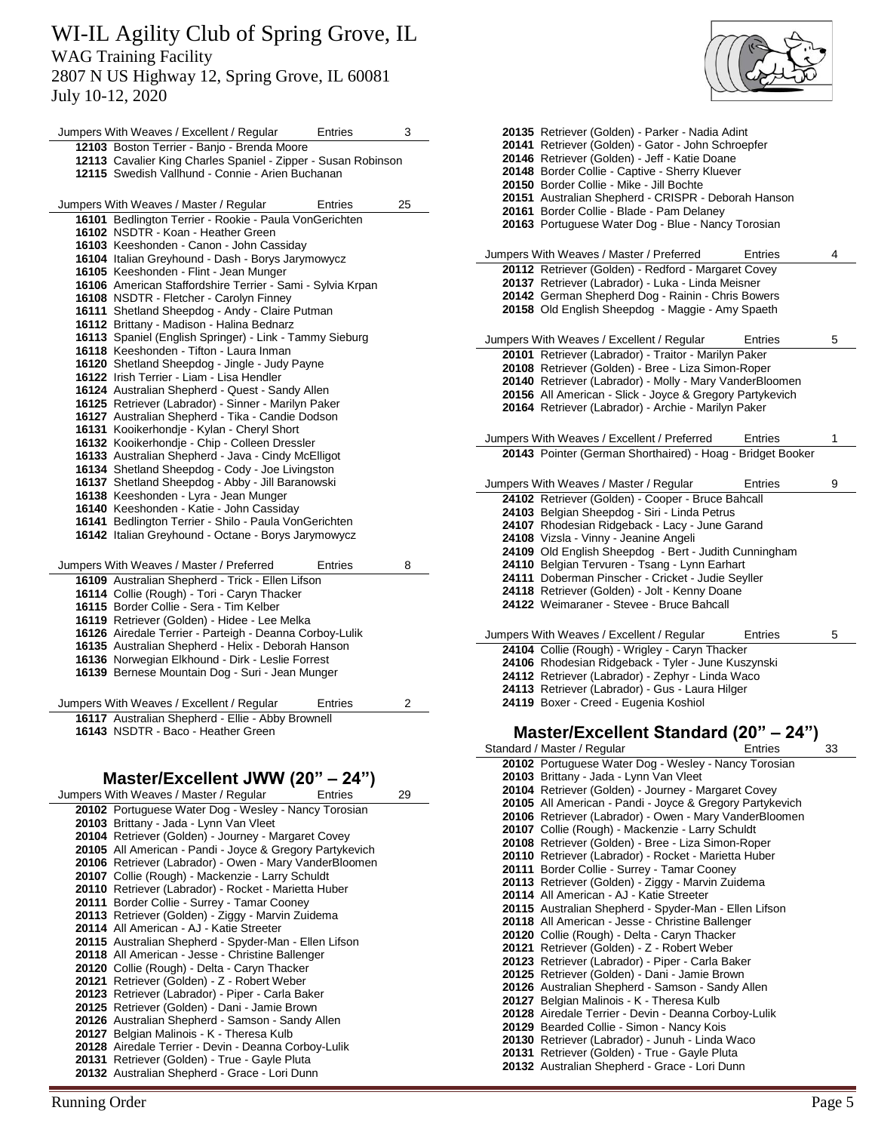July 10-12, 2020

| Jumpers With Weaves / Excellent / Regular                                                                          | Entries | 3  |
|--------------------------------------------------------------------------------------------------------------------|---------|----|
| 12103 Boston Terrier - Banjo - Brenda Moore                                                                        |         |    |
| 12113 Cavalier King Charles Spaniel - Zipper - Susan Robinson                                                      |         |    |
| 12115 Swedish Vallhund - Connie - Arien Buchanan                                                                   |         |    |
|                                                                                                                    |         |    |
| Jumpers With Weaves / Master / Regular                                                                             | Entries | 25 |
| 16101 Bedlington Terrier - Rookie - Paula VonGerichten                                                             |         |    |
| 16102 NSDTR - Koan - Heather Green                                                                                 |         |    |
| 16103 Keeshonden - Canon - John Cassiday                                                                           |         |    |
| 16104 Italian Greyhound - Dash - Borys Jarymowycz                                                                  |         |    |
| 16105 Keeshonden - Flint - Jean Munger                                                                             |         |    |
| 16106 American Staffordshire Terrier - Sami - Sylvia Krpan                                                         |         |    |
| 16108 NSDTR - Fletcher - Carolyn Finney                                                                            |         |    |
| 16111 Shetland Sheepdog - Andy - Claire Putman                                                                     |         |    |
| 16112 Brittany - Madison - Halina Bednarz                                                                          |         |    |
| 16113 Spaniel (English Springer) - Link - Tammy Sieburg                                                            |         |    |
| 16118 Keeshonden - Tifton - Laura Inman                                                                            |         |    |
| 16120 Shetland Sheepdog - Jingle - Judy Payne<br>16122 Irish Terrier - Liam - Lisa Hendler                         |         |    |
| 16124 Australian Shepherd - Quest - Sandy Allen                                                                    |         |    |
| 16125 Retriever (Labrador) - Sinner - Marilyn Paker                                                                |         |    |
| 16127 Australian Shepherd - Tika - Candie Dodson                                                                   |         |    |
| 16131 Kooikerhondje - Kylan - Cheryl Short                                                                         |         |    |
| 16132 Kooikerhondje - Chip - Colleen Dressler                                                                      |         |    |
| 16133 Australian Shepherd - Java - Cindy McElligot                                                                 |         |    |
| 16134 Shetland Sheepdog - Cody - Joe Livingston                                                                    |         |    |
| 16137 Shetland Sheepdog - Abby - Jill Baranowski                                                                   |         |    |
| 16138 Keeshonden - Lyra - Jean Munger                                                                              |         |    |
| 16140 Keeshonden - Katie - John Cassiday                                                                           |         |    |
| 16141 Bedlington Terrier - Shilo - Paula VonGerichten                                                              |         |    |
| 16142 Italian Greyhound - Octane - Borys Jarymowycz                                                                |         |    |
|                                                                                                                    |         |    |
| Jumpers With Weaves / Master / Preferred                                                                           | Entries | 8  |
| 16109 Australian Shepherd - Trick - Ellen Lifson                                                                   |         |    |
| 16114 Collie (Rough) - Tori - Caryn Thacker                                                                        |         |    |
| 16115 Border Collie - Sera - Tim Kelber                                                                            |         |    |
| 16119 Retriever (Golden) - Hidee - Lee Melka                                                                       |         |    |
| 16126 Airedale Terrier - Parteigh - Deanna Corboy-Lulik                                                            |         |    |
| 16135 Australian Shepherd - Helix - Deborah Hanson                                                                 |         |    |
| 16136 Norwegian Elkhound - Dirk - Leslie Forrest                                                                   |         |    |
| 16139 Bernese Mountain Dog - Suri - Jean Munger                                                                    |         |    |
|                                                                                                                    |         |    |
| Jumpers With Weaves / Excellent / Regular                                                                          | Entries | 2  |
| 16117 Australian Shepherd - Ellie - Abby Brownell                                                                  |         |    |
| 16143 NSDTR - Baco - Heather Green                                                                                 |         |    |
|                                                                                                                    |         |    |
|                                                                                                                    |         |    |
| Master/Excellent JWW (20" - 24")                                                                                   |         |    |
| Jumpers With Weaves / Master / Regular                                                                             | Entries | 29 |
| 20102 Portuguese Water Dog - Wesley - Nancy Torosian                                                               |         |    |
| 20103 Brittany - Jada - Lynn Van Vleet                                                                             |         |    |
| 20104 Retriever (Golden) - Journey - Margaret Covey                                                                |         |    |
| 20105 All American - Pandi - Joyce & Gregory Partykevich<br>20106 Retriever (Labrador) - Owen - Mary VanderBloomen |         |    |
| 20107 Collie (Rough) - Mackenzie - Larry Schuldt                                                                   |         |    |
| 20110 Retriever (Labrador) - Rocket - Marietta Huber                                                               |         |    |
| 20111 Border Collie - Surrey - Tamar Cooney                                                                        |         |    |
| 20113 Retriever (Golden) - Ziggy - Marvin Zuidema                                                                  |         |    |
| 20111 All Amorican All Katio Strooter                                                                              |         |    |

All American - AJ - Katie Streeter

Australian Shepherd - Spyder-Man - Ellen Lifson

- All American Jesse Christine Ballenger
- Collie (Rough) Delta Caryn Thacker Retriever (Golden) - Z - Robert Weber

Retriever (Labrador) - Piper - Carla Baker

- Retriever (Golden) Dani Jamie Brown
- Australian Shepherd Samson Sandy Allen
- Belgian Malinois K Theresa Kulb
- Airedale Terrier Devin Deanna Corboy-Lulik
- Retriever (Golden) True Gayle Pluta
- Australian Shepherd Grace Lori Dunn



| 20135 Retriever (Golden) - Parker - Nadia Adint                                                                    |    |
|--------------------------------------------------------------------------------------------------------------------|----|
| 20141 Retriever (Golden) - Gator - John Schroepfer                                                                 |    |
| 20146 Retriever (Golden) - Jeff - Katie Doane<br>20148 Border Collie - Captive - Sherry Kluever                    |    |
| 20150 Border Collie - Mike - Jill Bochte                                                                           |    |
| 20151 Australian Shepherd - CRISPR - Deborah Hanson                                                                |    |
| 20161 Border Collie - Blade - Pam Delaney                                                                          |    |
| 20163 Portuguese Water Dog - Blue - Nancy Torosian                                                                 |    |
| Jumpers With Weaves / Master / Preferred<br>Entries                                                                | 4  |
| 20112 Retriever (Golden) - Redford - Margaret Covey                                                                |    |
| 20137 Retriever (Labrador) - Luka - Linda Meisner<br>20142 German Shepherd Dog - Rainin - Chris Bowers             |    |
| 20158 Old English Sheepdog - Maggie - Amy Spaeth                                                                   |    |
|                                                                                                                    |    |
| Jumpers With Weaves / Excellent / Regular<br>Entries                                                               | 5  |
| 20101 Retriever (Labrador) - Traitor - Marilyn Paker<br>20108 Retriever (Golden) - Bree - Liza Simon-Roper         |    |
| 20140 Retriever (Labrador) - Molly - Mary VanderBloomen                                                            |    |
| 20156 All American - Slick - Joyce & Gregory Partykevich                                                           |    |
| 20164 Retriever (Labrador) - Archie - Marilyn Paker                                                                |    |
| Jumpers With Weaves / Excellent / Preferred<br>Entries                                                             | 1  |
| 20143 Pointer (German Shorthaired) - Hoag - Bridget Booker                                                         |    |
| Jumpers With Weaves / Master / Regular<br>Entries                                                                  | 9  |
| 24102 Retriever (Golden) - Cooper - Bruce Bahcall                                                                  |    |
| 24103 Belgian Sheepdog - Siri - Linda Petrus                                                                       |    |
| 24107 Rhodesian Ridgeback - Lacy - June Garand                                                                     |    |
| 24108 Vizsla - Vinny - Jeanine Angeli<br>24109 Old English Sheepdog - Bert - Judith Cunningham                     |    |
| 24110 Belgian Tervuren - Tsang - Lynn Earhart                                                                      |    |
| 24111 Doberman Pinscher - Cricket - Judie Seyller                                                                  |    |
|                                                                                                                    |    |
| 24118 Retriever (Golden) - Jolt - Kenny Doane                                                                      |    |
| 24122 Weimaraner - Stevee - Bruce Bahcall                                                                          |    |
| Jumpers With Weaves / Excellent / Regular<br>Entries                                                               | 5  |
| 24104 Collie (Rough) - Wrigley - Caryn Thacker                                                                     |    |
| 24106 Rhodesian Ridgeback - Tyler - June Kuszynski                                                                 |    |
| 24112 Retriever (Labrador) - Zephyr - Linda Waco<br>24113 Retriever (Labrador) - Gus - Laura Hilger                |    |
| 24119 Boxer - Creed - Eugenia Koshiol                                                                              |    |
|                                                                                                                    |    |
| Master/Excellent Standard (20" – 24")<br>Entries                                                                   | 33 |
| Standard / Master / Regular<br>20102 Portuguese Water Dog - Wesley - Nancy Torosian                                |    |
| 20103 Brittany - Jada - Lynn Van Vleet                                                                             |    |
| 20104 Retriever (Golden) - Journey - Margaret Covey                                                                |    |
| 20105 All American - Pandi - Joyce & Gregory Partykevich<br>20106 Retriever (Labrador) - Owen - Mary VanderBloomen |    |
| 20107 Collie (Rough) - Mackenzie - Larry Schuldt                                                                   |    |
| 20108 Retriever (Golden) - Bree - Liza Simon-Roper                                                                 |    |
| 20110 Retriever (Labrador) - Rocket - Marietta Huber                                                               |    |
| 20111 Border Collie - Surrey - Tamar Cooney<br>20113 Retriever (Golden) - Ziggy - Marvin Zuidema                   |    |
| 20114 All American - AJ - Katie Streeter                                                                           |    |
| 20115 Australian Shepherd - Spyder-Man - Ellen Lifson                                                              |    |
| 20118 All American - Jesse - Christine Ballenger<br>20120 Collie (Rough) - Delta - Caryn Thacker                   |    |
| 20121 Retriever (Golden) - Z - Robert Weber                                                                        |    |
| 20123 Retriever (Labrador) - Piper - Carla Baker                                                                   |    |
| 20125 Retriever (Golden) - Dani - Jamie Brown                                                                      |    |
| 20126 Australian Shepherd - Samson - Sandy Allen<br>20127 Belgian Malinois - K - Theresa Kulb                      |    |
| 20128 Airedale Terrier - Devin - Deanna Corboy-Lulik                                                               |    |
| 20129 Bearded Collie - Simon - Nancy Kois<br>20130 Retriever (Labrador) - Junuh - Linda Waco                       |    |

Australian Shepherd - Grace - Lori Dunn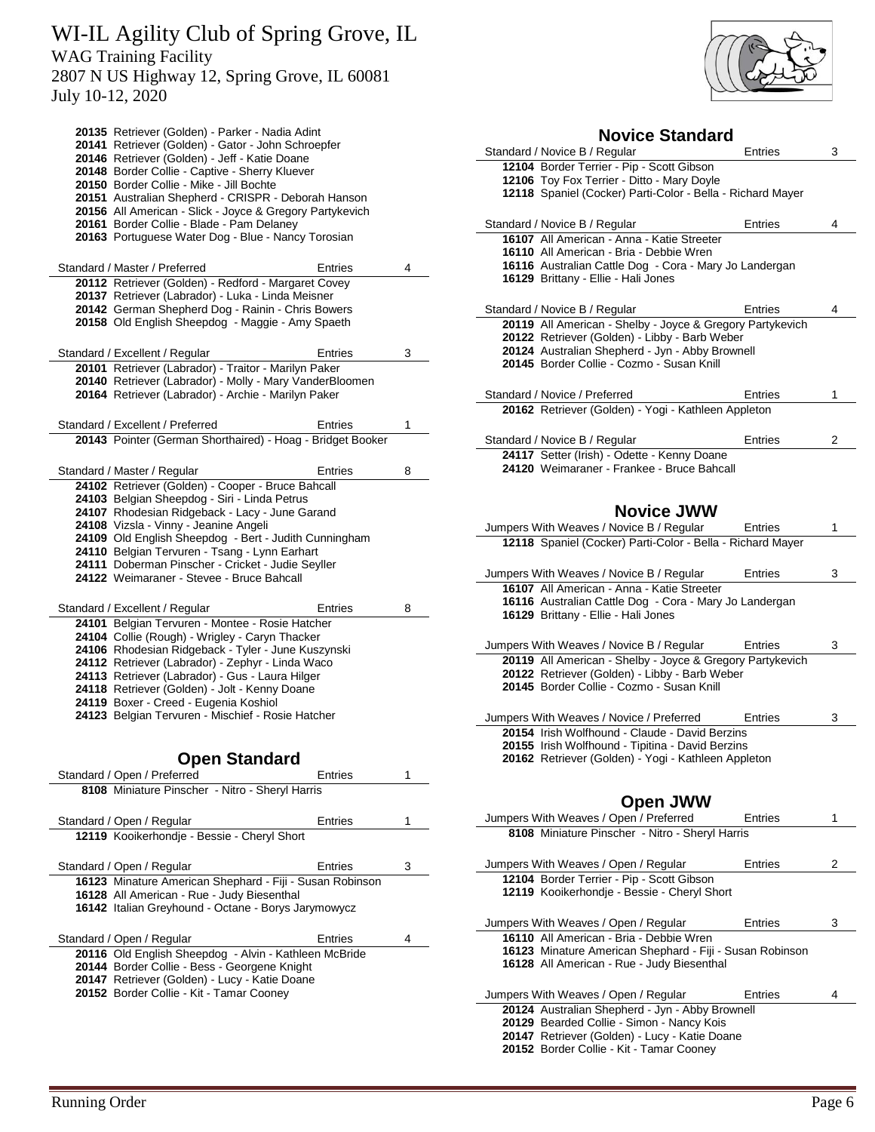July 10-12, 2020

| 20135 Retriever (Golden) - Parker - Nadia Adint<br>20141 Retriever (Golden) - Gator - John Schroepfer<br>20146 Retriever (Golden) - Jeff - Katie Doane<br>20148 Border Collie - Captive - Sherry Kluever |                |   |
|----------------------------------------------------------------------------------------------------------------------------------------------------------------------------------------------------------|----------------|---|
| 20150 Border Collie - Mike - Jill Bochte                                                                                                                                                                 |                |   |
| 20151 Australian Shepherd - CRISPR - Deborah Hanson<br>20156 All American - Slick - Joyce & Gregory Partykevich                                                                                          |                |   |
| 20161 Border Collie - Blade - Pam Delaney                                                                                                                                                                |                |   |
| 20163 Portuguese Water Dog - Blue - Nancy Torosian                                                                                                                                                       |                |   |
| Standard / Master / Preferred<br>20112 Retriever (Golden) - Redford - Margaret Covey                                                                                                                     | Entries        | 4 |
| 20137 Retriever (Labrador) - Luka - Linda Meisner                                                                                                                                                        |                |   |
| 20142 German Shepherd Dog - Rainin - Chris Bowers                                                                                                                                                        |                |   |
| 20158 Old English Sheepdog - Maggie - Amy Spaeth                                                                                                                                                         |                |   |
| Standard / Excellent / Regular                                                                                                                                                                           | Entries        | 3 |
| 20101 Retriever (Labrador) - Traitor - Marilyn Paker<br>20140 Retriever (Labrador) - Molly - Mary VanderBloomen                                                                                          |                |   |
| 20164 Retriever (Labrador) - Archie - Marilyn Paker                                                                                                                                                      |                |   |
| Standard / Excellent / Preferred                                                                                                                                                                         | Entries        | 1 |
| 20143 Pointer (German Shorthaired) - Hoag - Bridget Booker                                                                                                                                               |                |   |
| Standard / Master / Regular                                                                                                                                                                              | <b>Entries</b> | 8 |
| 24102 Retriever (Golden) - Cooper - Bruce Bahcall                                                                                                                                                        |                |   |
| 24103 Belgian Sheepdog - Siri - Linda Petrus                                                                                                                                                             |                |   |
| 24107 Rhodesian Ridgeback - Lacy - June Garand<br>24108 Vizsla - Vinny - Jeanine Angeli                                                                                                                  |                |   |
| 24109 Old English Sheepdog - Bert - Judith Cunningham                                                                                                                                                    |                |   |
| 24110 Belgian Tervuren - Tsang - Lynn Earhart                                                                                                                                                            |                |   |
| 24111 Doberman Pinscher - Cricket - Judie Seyller                                                                                                                                                        |                |   |
| 24122 Weimaraner - Stevee - Bruce Bahcall                                                                                                                                                                |                |   |
|                                                                                                                                                                                                          |                |   |
| Standard / Excellent / Regular                                                                                                                                                                           | Entries        | 8 |
| 24101 Belgian Tervuren - Montee - Rosie Hatcher                                                                                                                                                          |                |   |
| 24104 Collie (Rough) - Wrigley - Caryn Thacker                                                                                                                                                           |                |   |
| 24106 Rhodesian Ridgeback - Tyler - June Kuszynski                                                                                                                                                       |                |   |
| 24112 Retriever (Labrador) - Zephyr - Linda Waco<br>24113 Retriever (Labrador) - Gus - Laura Hilger                                                                                                      |                |   |
| 24118 Retriever (Golden) - Jolt - Kenny Doane                                                                                                                                                            |                |   |
| 24119 Boxer - Creed - Eugenia Koshiol                                                                                                                                                                    |                |   |
| 24123 Belgian Tervuren - Mischief - Rosie Hatcher                                                                                                                                                        |                |   |
|                                                                                                                                                                                                          |                |   |
| <b>Open Standard</b><br>Standard / Open / Preferred                                                                                                                                                      | Entries        | 1 |
| 8108 Miniature Pinscher - Nitro - Sheryl Harris                                                                                                                                                          |                |   |
|                                                                                                                                                                                                          | <b>Entries</b> | 1 |
| Standard / Open / Regular<br>12119 Kooikerhondje - Bessie - Cheryl Short                                                                                                                                 |                |   |
|                                                                                                                                                                                                          | Entries        | 3 |
| Standard / Open / Regular<br>16123 Minature American Shephard - Fiji - Susan Robinson                                                                                                                    |                |   |
| 16128 All American - Rue - Judy Biesenthal                                                                                                                                                               |                |   |
| 16142 Italian Greyhound - Octane - Borys Jarymowycz                                                                                                                                                      |                |   |
| Standard / Open / Regular                                                                                                                                                                                | Entries        | 4 |
| 20116 Old English Sheepdog - Alvin - Kathleen McBride                                                                                                                                                    |                |   |
| 20144 Border Collie - Bess - Georgene Knight                                                                                                                                                             |                |   |
| 20147 Retriever (Golden) - Lucy - Katie Doane                                                                                                                                                            |                |   |
| 20152 Border Collie - Kit - Tamar Cooney                                                                                                                                                                 |                |   |
|                                                                                                                                                                                                          |                |   |



| <b>Novice Standard</b>                                                                                     |                |   |
|------------------------------------------------------------------------------------------------------------|----------------|---|
| Standard / Novice B / Regular                                                                              | Entries        | 3 |
| 12104 Border Terrier - Pip - Scott Gibson<br>12106 Toy Fox Terrier - Ditto - Mary Doyle                    |                |   |
| 12118 Spaniel (Cocker) Parti-Color - Bella - Richard Mayer                                                 |                |   |
|                                                                                                            |                |   |
| Standard / Novice B / Regular                                                                              | Entries        | 4 |
| 16107 All American - Anna - Katie Streeter<br>16110 All American - Bria - Debbie Wren                      |                |   |
| 16116 Australian Cattle Dog - Cora - Mary Jo Landergan                                                     |                |   |
| 16129 Brittany - Ellie - Hali Jones                                                                        |                |   |
|                                                                                                            |                |   |
| Standard / Novice B / Regular                                                                              | Entries        | 4 |
| 20119 All American - Shelby - Joyce & Gregory Partykevich<br>20122 Retriever (Golden) - Libby - Barb Weber |                |   |
| 20124 Australian Shepherd - Jyn - Abby Brownell                                                            |                |   |
| 20145 Border Collie - Cozmo - Susan Knill                                                                  |                |   |
|                                                                                                            |                |   |
| Standard / Novice / Preferred<br>20162 Retriever (Golden) - Yogi - Kathleen Appleton                       | Entries        | 1 |
|                                                                                                            |                |   |
| Standard / Novice B / Regular                                                                              | Entries        | 2 |
| 24117 Setter (Irish) - Odette - Kenny Doane                                                                |                |   |
| 24120 Weimaraner - Frankee - Bruce Bahcall                                                                 |                |   |
|                                                                                                            |                |   |
| <b>Novice JWW</b>                                                                                          |                |   |
| Jumpers With Weaves / Novice B / Regular                                                                   | Entries        | 1 |
| 12118 Spaniel (Cocker) Parti-Color - Bella - Richard Mayer                                                 |                |   |
|                                                                                                            |                | 3 |
| Jumpers With Weaves / Novice B / Regular<br>16107 All American - Anna - Katie Streeter                     | Entries        |   |
| 16116 Australian Cattle Dog - Cora - Mary Jo Landergan                                                     |                |   |
| 16129 Brittany - Ellie - Hali Jones                                                                        |                |   |
|                                                                                                            | <b>Entries</b> | 3 |
| Jumpers With Weaves / Novice B / Regular<br>20119 All American - Shelby - Joyce & Gregory Partykevich      |                |   |
| 20122 Retriever (Golden) - Libby - Barb Weber                                                              |                |   |
| 20145 Border Collie - Cozmo - Susan Knill                                                                  |                |   |
|                                                                                                            |                |   |
| Jumpers With Weaves / Novice / Preferred<br>20154 Irish Wolfhound - Claude - David Berzins                 | <b>Entries</b> | 3 |
| 20155 Irish Wolfhound - Tipitina - David Berzins                                                           |                |   |
| 20162 Retriever (Golden) - Yogi - Kathleen Appleton                                                        |                |   |
|                                                                                                            |                |   |
| <b>Open JWW</b>                                                                                            |                |   |
| Jumpers With Weaves / Open / Preferred                                                                     | Entries        | 1 |
| 8108 Miniature Pinscher - Nitro - Sheryl Harris                                                            |                |   |
|                                                                                                            |                |   |
| Jumpers With Weaves / Open / Regular                                                                       | Entries        | 2 |
| 12104 Border Terrier - Pip - Scott Gibson<br>12119 Kooikerhondje - Bessie - Cheryl Short                   |                |   |
|                                                                                                            |                |   |
| Jumpers With Weaves / Open / Regular                                                                       | Entries        | 3 |
| 16110 All American - Bria - Debbie Wren                                                                    |                |   |
| 16123 Minature American Shephard - Fiji - Susan Robinson<br>16128 All American - Rue - Judy Biesenthal     |                |   |
|                                                                                                            |                |   |
| Jumpers With Weaves / Open / Regular                                                                       | Entries        | 4 |
| 20124 Australian Shepherd - Jyn - Abby Brownell<br>20129 Bearded Collie - Simon - Nancy Kois               |                |   |
|                                                                                                            |                |   |

 Retriever (Golden) - Lucy - Katie Doane Border Collie - Kit - Tamar Cooney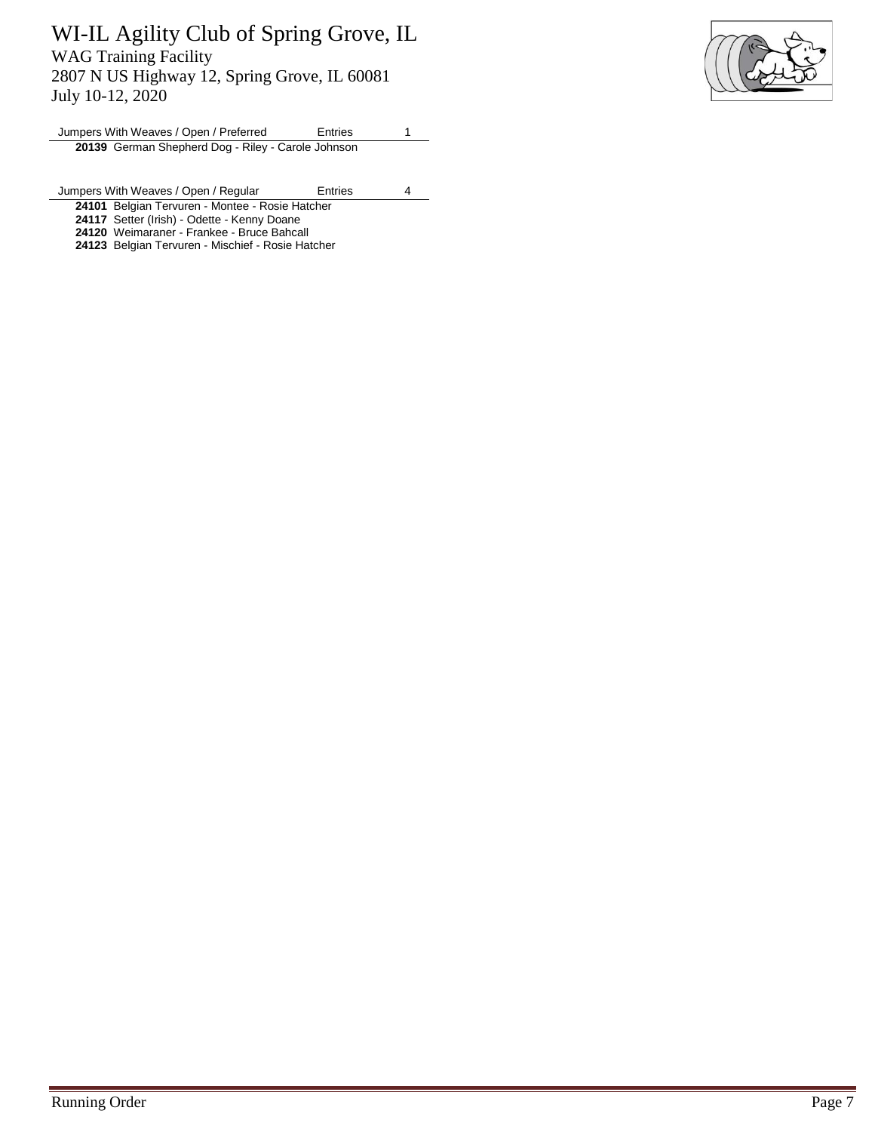

Jumpers With Weaves / Open / Preferred Entries 1 **20139** German Shepherd Dog - Riley - Carole Johnson

Jumpers With Weaves / Open / Regular Entries 4

**24101** Belgian Tervuren - Montee - Rosie Hatcher

**24117** Setter (Irish) - Odette - Kenny Doane

**24120** Weimaraner - Frankee - Bruce Bahcall

**24123** Belgian Tervuren - Mischief - Rosie Hatcher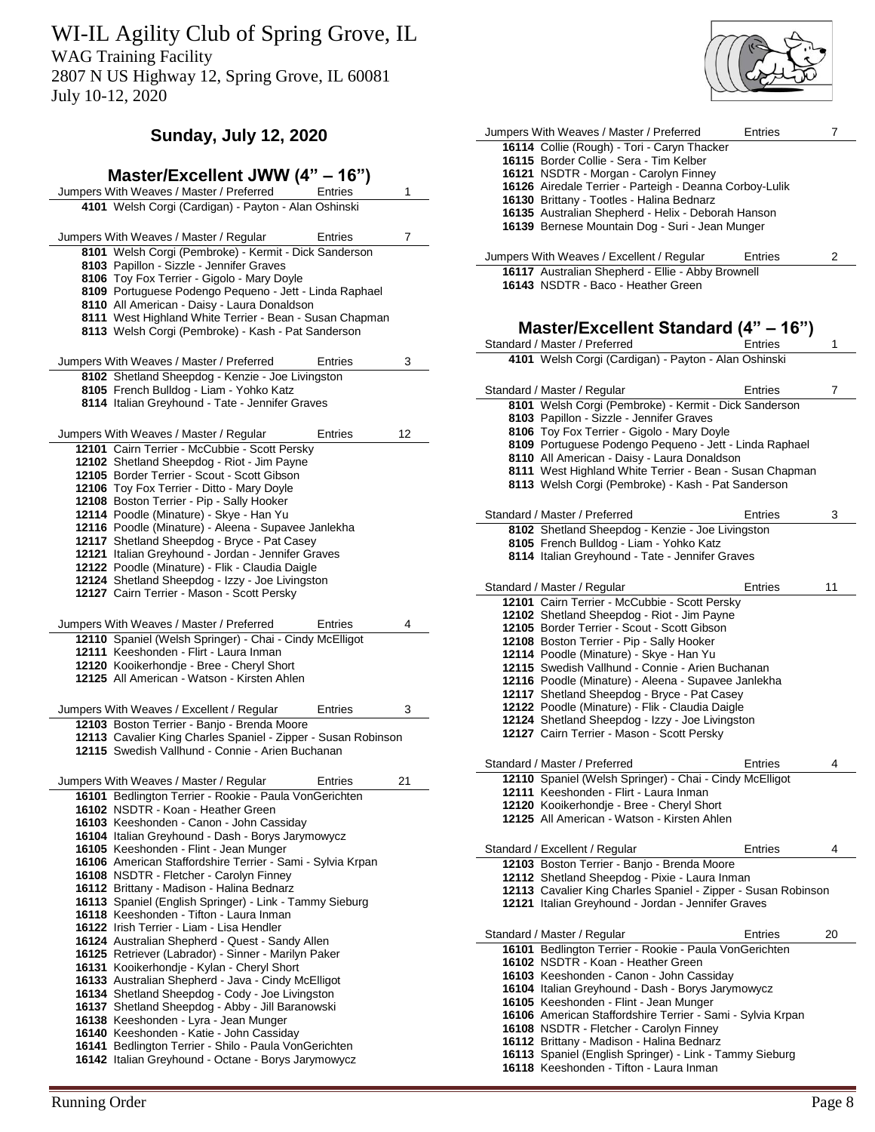WI-IL Agility Club of Spring Grove, IL

WAG Training Facility

2807 N US Highway 12, Spring Grove, IL 60081 July 10-12, 2020

### **Sunday, July 12, 2020**

| Master/Excellent JWW (4" - 16")                                                                               |                |    |
|---------------------------------------------------------------------------------------------------------------|----------------|----|
| Jumpers With Weaves / Master / Preferred                                                                      | Entries        | 1  |
| 4101 Welsh Corgi (Cardigan) - Payton - Alan Oshinski                                                          |                |    |
|                                                                                                               |                |    |
| Jumpers With Weaves / Master / Regular                                                                        | Entries        | 7  |
| 8101 Welsh Corgi (Pembroke) - Kermit - Dick Sanderson                                                         |                |    |
| 8103 Papillon - Sizzle - Jennifer Graves                                                                      |                |    |
| 8106 Toy Fox Terrier - Gigolo - Mary Doyle                                                                    |                |    |
| 8109 Portuguese Podengo Pequeno - Jett - Linda Raphael                                                        |                |    |
| 8110 All American - Daisy - Laura Donaldson                                                                   |                |    |
| 8111 West Highland White Terrier - Bean - Susan Chapman<br>8113 Welsh Corgi (Pembroke) - Kash - Pat Sanderson |                |    |
|                                                                                                               |                |    |
| Jumpers With Weaves / Master / Preferred                                                                      | Entries        | 3  |
| 8102 Shetland Sheepdog - Kenzie - Joe Livingston                                                              |                |    |
| 8105 French Bulldog - Liam - Yohko Katz                                                                       |                |    |
| 8114 Italian Greyhound - Tate - Jennifer Graves                                                               |                |    |
|                                                                                                               |                |    |
| Jumpers With Weaves / Master / Regular                                                                        | Entries        | 12 |
| 12101 Cairn Terrier - McCubbie - Scott Persky                                                                 |                |    |
| 12102 Shetland Sheepdog - Riot - Jim Payne                                                                    |                |    |
| 12105 Border Terrier - Scout - Scott Gibson                                                                   |                |    |
| 12106 Toy Fox Terrier - Ditto - Mary Doyle                                                                    |                |    |
| 12108 Boston Terrier - Pip - Sally Hooker                                                                     |                |    |
| 12114 Poodle (Minature) - Skye - Han Yu                                                                       |                |    |
| 12116 Poodle (Minature) - Aleena - Supavee Janlekha                                                           |                |    |
| 12117 Shetland Sheepdog - Bryce - Pat Casey                                                                   |                |    |
| 12121 Italian Greyhound - Jordan - Jennifer Graves                                                            |                |    |
| 12122 Poodle (Minature) - Flik - Claudia Daigle                                                               |                |    |
| 12124 Shetland Sheepdog - Izzy - Joe Livingston                                                               |                |    |
| 12127 Cairn Terrier - Mason - Scott Persky                                                                    |                |    |
| Jumpers With Weaves / Master / Preferred                                                                      | Entries        | 4  |
| 12110 Spaniel (Welsh Springer) - Chai - Cindy McElligot                                                       |                |    |
| 12111 Keeshonden - Flirt - Laura Inman                                                                        |                |    |
| 12120 Kooikerhondje - Bree - Cheryl Short                                                                     |                |    |
| 12125 All American - Watson - Kirsten Ahlen                                                                   |                |    |
| Jumpers With Weaves / Excellent / Regular                                                                     | Entries        | 3  |
| 12103 Boston Terrier - Banjo - Brenda Moore                                                                   |                |    |
| 12113 Cavalier King Charles Spaniel - Zipper - Susan Robinson                                                 |                |    |
| 12115 Swedish Vallhund - Connie - Arien Buchanan                                                              |                |    |
|                                                                                                               |                |    |
| Jumpers With Weaves / Master / Regular                                                                        | <b>Entries</b> | 21 |
| 16101 Bedlington Terrier - Rookie - Paula VonGerichten                                                        |                |    |
| 16102 NSDTR - Koan - Heather Green                                                                            |                |    |
| 16103 Keeshonden - Canon - John Cassiday                                                                      |                |    |
| 16104 Italian Greyhound - Dash - Borys Jarymowycz                                                             |                |    |
| 16105 Keeshonden - Flint - Jean Munger                                                                        |                |    |
| 16106 American Staffordshire Terrier - Sami - Sylvia Krpan                                                    |                |    |
| 16108 NSDTR - Fletcher - Carolyn Finney<br>16112 Brittany - Madison - Halina Bednarz                          |                |    |
| 16113 Spaniel (English Springer) - Link - Tammy Sieburg                                                       |                |    |
| 16118 Keeshonden - Tifton - Laura Inman                                                                       |                |    |
| 16122 Irish Terrier - Liam - Lisa Hendler                                                                     |                |    |
|                                                                                                               |                |    |
|                                                                                                               |                |    |
| 16124 Australian Shepherd - Quest - Sandy Allen<br>16125 Retriever (Labrador) - Sinner - Marilyn Paker        |                |    |
| 16131 Kooikerhondje - Kylan - Cheryl Short                                                                    |                |    |
| 16133 Australian Shepherd - Java - Cindy McElligot                                                            |                |    |
| 16134 Shetland Sheepdog - Cody - Joe Livingston                                                               |                |    |
| 16137 Shetland Sheepdog - Abby - Jill Baranowski                                                              |                |    |
| 16138 Keeshonden - Lyra - Jean Munger                                                                         |                |    |
| 16140 Keeshonden - Katie - John Cassiday                                                                      |                |    |
| 16141 Bedlington Terrier - Shilo - Paula VonGerichten<br>16142 Italian Greyhound - Octane - Borys Jarymowycz  |                |    |



Standard / Master / Regular **Entries** 20 Bedlington Terrier - Rookie - Paula VonGerichten

American Staffordshire Terrier - Sami - Sylvia Krpan

Spaniel (English Springer) - Link - Tammy Sieburg

 NSDTR - Koan - Heather Green Keeshonden - Canon - John Cassiday Italian Greyhound - Dash - Borys Jarymowycz

Keeshonden - Flint - Jean Munger

 NSDTR - Fletcher - Carolyn Finney Brittany - Madison - Halina Bednarz

Keeshonden - Tifton - Laura Inman

| $\mathbf{r}$<br>. )rder<br><b>IVALITILE</b><br>$\circ$ | 29 06 |
|--------------------------------------------------------|-------|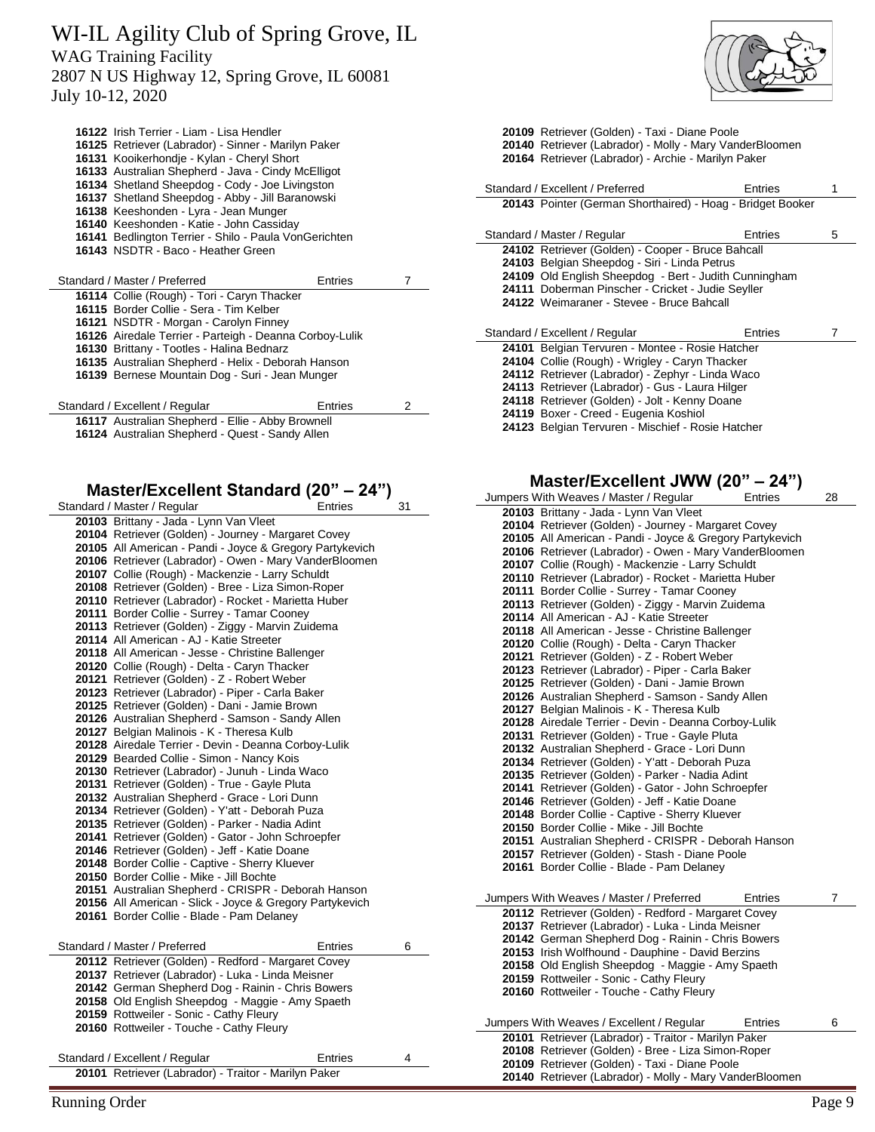WI-IL Agility Club of Spring Grove, IL WAG Training Facility

2807 N US Highway 12, Spring Grove, IL 60081 July 10-12, 2020

| 16122 Irish Terrier - Liam - Lisa Hendler               |         |   |
|---------------------------------------------------------|---------|---|
| 16125 Retriever (Labrador) - Sinner - Marilyn Paker     |         |   |
| 16131 Kooikerhondje - Kylan - Cheryl Short              |         |   |
| 16133 Australian Shepherd - Java - Cindy McElligot      |         |   |
| 16134 Shetland Sheepdog - Cody - Joe Livingston         |         |   |
| 16137 Shetland Sheepdog - Abby - Jill Baranowski        |         |   |
| 16138 Keeshonden - Lyra - Jean Munger                   |         |   |
| 16140 Keeshonden - Katie - John Cassiday                |         |   |
| 16141 Bedlington Terrier - Shilo - Paula VonGerichten   |         |   |
| 16143 NSDTR - Baco - Heather Green                      |         |   |
|                                                         |         |   |
| Standard / Master / Preferred                           | Entries | 7 |
| 16114 Collie (Rough) - Tori - Caryn Thacker             |         |   |
| 16115 Border Collie - Sera - Tim Kelber                 |         |   |
| 16121 NSDTR - Morgan - Carolyn Finney                   |         |   |
| 16126 Airedale Terrier - Parteigh - Deanna Corboy-Lulik |         |   |
| 16130 Brittany - Tootles - Halina Bednarz               |         |   |
| 16135 Australian Shepherd - Helix - Deborah Hanson      |         |   |
| 16139 Bernese Mountain Dog - Suri - Jean Munger         |         |   |
|                                                         |         |   |
| Standard / Excellent / Regular                          | Entries | 2 |
| 16117 Australian Shepherd - Ellie - Abby Brownell       |         |   |
| 16124 Australian Shepherd - Quest - Sandy Allen         |         |   |

# **Master/Excellent Standard (20" – 24")**

| Standard / Master / Regular                                                                           | Entries | 31 |
|-------------------------------------------------------------------------------------------------------|---------|----|
| 20103 Brittany - Jada - Lynn Van Vleet                                                                |         |    |
| 20104 Retriever (Golden) - Journey - Margaret Covey                                                   |         |    |
| 20105 All American - Pandi - Joyce & Gregory Partykevich                                              |         |    |
| 20106 Retriever (Labrador) - Owen - Mary VanderBloomen                                                |         |    |
| 20107 Collie (Rough) - Mackenzie - Larry Schuldt                                                      |         |    |
| 20108 Retriever (Golden) - Bree - Liza Simon-Roper                                                    |         |    |
| 20110 Retriever (Labrador) - Rocket - Marietta Huber                                                  |         |    |
| 20111 Border Collie - Surrey - Tamar Cooney                                                           |         |    |
| 20113 Retriever (Golden) - Ziggy - Marvin Zuidema                                                     |         |    |
| 20114 All American - AJ - Katie Streeter                                                              |         |    |
| 20118 All American - Jesse - Christine Ballenger                                                      |         |    |
| 20120 Collie (Rough) - Delta - Caryn Thacker                                                          |         |    |
| 20121 Retriever (Golden) - Z - Robert Weber                                                           |         |    |
| 20123 Retriever (Labrador) - Piper - Carla Baker                                                      |         |    |
| 20125 Retriever (Golden) - Dani - Jamie Brown                                                         |         |    |
| 20126 Australian Shepherd - Samson - Sandy Allen                                                      |         |    |
| 20127 Belgian Malinois - K - Theresa Kulb                                                             |         |    |
| 20128 Airedale Terrier - Devin - Deanna Corboy-Lulik                                                  |         |    |
| 20129 Bearded Collie - Simon - Nancy Kois                                                             |         |    |
| 20130 Retriever (Labrador) - Junuh - Linda Waco                                                       |         |    |
| 20131 Retriever (Golden) - True - Gayle Pluta                                                         |         |    |
| 20132 Australian Shepherd - Grace - Lori Dunn                                                         |         |    |
| 20134 Retriever (Golden) - Y'att - Deborah Puza                                                       |         |    |
| 20135 Retriever (Golden) - Parker - Nadia Adint<br>20141 Retriever (Golden) - Gator - John Schroepfer |         |    |
| 20146 Retriever (Golden) - Jeff - Katie Doane                                                         |         |    |
| 20148 Border Collie - Captive - Sherry Kluever                                                        |         |    |
| 20150 Border Collie - Mike - Jill Bochte                                                              |         |    |
| 20151 Australian Shepherd - CRISPR - Deborah Hanson                                                   |         |    |
| 20156 All American - Slick - Joyce & Gregory Partykevich                                              |         |    |
| 20161 Border Collie - Blade - Pam Delaney                                                             |         |    |
|                                                                                                       |         |    |
| Standard / Master / Preferred                                                                         | Entries | 6  |
| 20112 Retriever (Golden) - Redford - Margaret Covey                                                   |         |    |
| 20137 Retriever (Labrador) - Luka - Linda Meisner                                                     |         |    |
| 20142 German Shepherd Dog - Rainin - Chris Bowers                                                     |         |    |
| 20158 Old English Sheepdog - Maggie - Amy Spaeth                                                      |         |    |
| 20159 Rottweiler - Sonic - Cathy Fleury                                                               |         |    |
| 20160 Rottweiler - Touche - Cathy Fleury                                                              |         |    |
|                                                                                                       |         |    |
| Standard / Excellent / Regular                                                                        | Entries | 4  |
| 20101 Retriever (Labrador) - Traitor - Marilyn Paker                                                  |         |    |
|                                                                                                       |         |    |



|                                                            | 20109 Retriever (Golden) - Taxi - Diane Poole<br>20140 Retriever (Labrador) - Molly - Mary VanderBloomen<br>20164 Retriever (Labrador) - Archie - Marilyn Paker |   |  |
|------------------------------------------------------------|-----------------------------------------------------------------------------------------------------------------------------------------------------------------|---|--|
| Standard / Excellent / Preferred                           | Entries                                                                                                                                                         | 1 |  |
| 20143 Pointer (German Shorthaired) - Hoag - Bridget Booker |                                                                                                                                                                 |   |  |
| Standard / Master / Regular                                | Entries                                                                                                                                                         | 5 |  |
| 24102 Retriever (Golden) - Cooper - Bruce Bahcall          |                                                                                                                                                                 |   |  |
| 24103 Belgian Sheepdog - Siri - Linda Petrus               |                                                                                                                                                                 |   |  |
| 24109 Old English Sheepdog - Bert - Judith Cunningham      |                                                                                                                                                                 |   |  |
| 24111 Doberman Pinscher - Cricket - Judie Seyller          |                                                                                                                                                                 |   |  |
| 24122 Weimaraner - Stevee - Bruce Bahcall                  |                                                                                                                                                                 |   |  |
|                                                            |                                                                                                                                                                 |   |  |
| Standard / Excellent / Regular                             | Entries                                                                                                                                                         | 7 |  |
| 24101 Belgian Tervuren - Montee - Rosie Hatcher            |                                                                                                                                                                 |   |  |
| 24104 Collie (Rough) - Wrigley - Caryn Thacker             |                                                                                                                                                                 |   |  |
| 24112 Retriever (Labrador) - Zephyr - Linda Waco           |                                                                                                                                                                 |   |  |
| 24113 Retriever (Labrador) - Gus - Laura Hilger            |                                                                                                                                                                 |   |  |
| 24118 Retriever (Golden) - Jolt - Kenny Doane              |                                                                                                                                                                 |   |  |
| 24119 Boxer - Creed - Eugenia Koshiol                      |                                                                                                                                                                 |   |  |
| 24123 Belgian Tervuren - Mischief - Rosie Hatcher          |                                                                                                                                                                 |   |  |

#### **Master/Excellent JWW (20" – 24")**

| Jumpers With Weaves / Master / Regular<br><b>Entries</b> | 28 |
|----------------------------------------------------------|----|
| 20103 Brittany - Jada - Lynn Van Vleet                   |    |
| 20104 Retriever (Golden) - Journey - Margaret Covey      |    |
| 20105 All American - Pandi - Joyce & Gregory Partykevich |    |
| 20106 Retriever (Labrador) - Owen - Mary VanderBloomen   |    |
| 20107 Collie (Rough) - Mackenzie - Larry Schuldt         |    |
| 20110 Retriever (Labrador) - Rocket - Marietta Huber     |    |
| 20111 Border Collie - Surrey - Tamar Cooney              |    |
| 20113 Retriever (Golden) - Ziggy - Marvin Zuidema        |    |
| 20114 All American - AJ - Katie Streeter                 |    |
| 20118 All American - Jesse - Christine Ballenger         |    |
| 20120 Collie (Rough) - Delta - Caryn Thacker             |    |
| 20121 Retriever (Golden) - Z - Robert Weber              |    |
| 20123 Retriever (Labrador) - Piper - Carla Baker         |    |
| 20125 Retriever (Golden) - Dani - Jamie Brown            |    |
| 20126 Australian Shepherd - Samson - Sandy Allen         |    |
| 20127 Belgian Malinois - K - Theresa Kulb                |    |
| 20128 Airedale Terrier - Devin - Deanna Corboy-Lulik     |    |
| 20131 Retriever (Golden) - True - Gayle Pluta            |    |
| 20132 Australian Shepherd - Grace - Lori Dunn            |    |
| 20134 Retriever (Golden) - Y'att - Deborah Puza          |    |
| 20135 Retriever (Golden) - Parker - Nadia Adint          |    |
| 20141 Retriever (Golden) - Gator - John Schroepfer       |    |
| 20146 Retriever (Golden) - Jeff - Katie Doane            |    |
| 20148 Border Collie - Captive - Sherry Kluever           |    |
| 20150 Border Collie - Mike - Jill Bochte                 |    |
| 20151 Australian Shepherd - CRISPR - Deborah Hanson      |    |
| 20157 Retriever (Golden) - Stash - Diane Poole           |    |
| 20161 Border Collie - Blade - Pam Delaney                |    |
|                                                          |    |
| Jumpers With Weaves / Master / Preferred<br>Entries      | 7  |
| 20112 Retriever (Golden) - Redford - Margaret Covey      |    |
| 20137 Retriever (Labrador) - Luka - Linda Meisner        |    |
| 20142 German Shepherd Dog - Rainin - Chris Bowers        |    |
| 20153 Irish Wolfhound - Dauphine - David Berzins         |    |
| 20158 Old English Sheepdog - Maggie - Amy Spaeth         |    |
| 20159 Rottweiler - Sonic - Cathy Fleury                  |    |
| 20160 Rottweiler - Touche - Cathy Fleury                 |    |
|                                                          |    |
| Jumpers With Weaves / Excellent / Regular<br>Entries     | 6  |
| 20101 Retriever (Labrador) - Traitor - Marilyn Paker     |    |
| 20108 Retriever (Golden) - Bree - Liza Simon-Roper       |    |
| 20109 Retriever (Golden) - Taxi - Diane Poole            |    |
| 20140 Retriever (Labrador) - Molly - Mary VanderBloomen  |    |